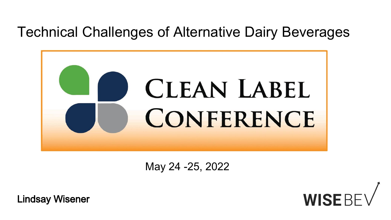## Technical Challenges of Alternative Dairy Beverages



May 24 -25, 2022

Lindsay Wisener

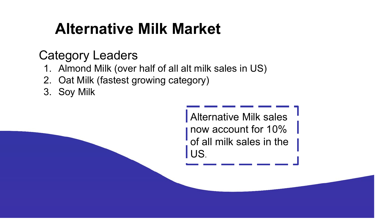# **Alternative Milk Market**

## Category Leaders

- 1. Almond Milk (over half of all alt milk sales in US)
- 2. Oat Milk (fastest growing category)
- 3. Soy Milk

Alternative Milk sales now account for 10% of all milk sales in the US.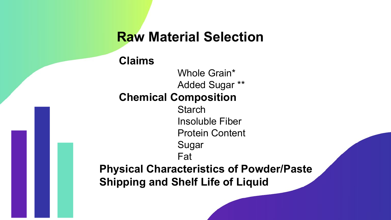### **Raw Material Selection**

#### **Claims**

Whole Grain\* Added Sugar \*\* **Chemical Composition Starch** Insoluble Fiber Protein Content Sugar Fat **Physical Characteristics of Powder/Paste Shipping and Shelf Life of Liquid**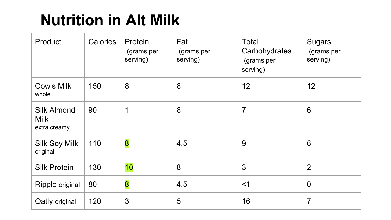# **Nutrition in Alt Milk**

| Product                                           | <b>Calories</b> | Protein<br>(grams per<br>serving) | Fat<br>(grams per<br>serving) | Total<br>Carbohydrates<br>(grams per<br>serving) | <b>Sugars</b><br>(grams per<br>serving) |
|---------------------------------------------------|-----------------|-----------------------------------|-------------------------------|--------------------------------------------------|-----------------------------------------|
| Cow's Milk<br>whole                               | 150             | 8                                 | 8                             | 12                                               | 12                                      |
| <b>Silk Almond</b><br><b>Milk</b><br>extra creamy | 90              | 1                                 | 8                             | $\overline{7}$                                   | $6\phantom{1}6$                         |
| <b>Silk Soy Milk</b><br>original                  | 110             | 8                                 | 4.5                           | 9                                                | $6\phantom{1}6$                         |
| <b>Silk Protein</b>                               | 130             | 10                                | 8                             | 3                                                | $\overline{2}$                          |
| Ripple original                                   | 80              | 8                                 | 4.5                           | $<$ 1                                            | $\overline{0}$                          |
| Oatly original                                    | 120             | 3                                 | 5                             | 16                                               | 7                                       |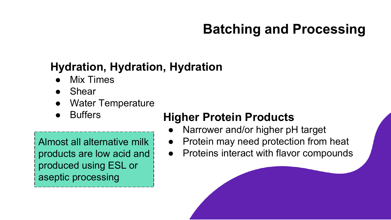## **Batching and Processing**

### **Hydration, Hydration, Hydration**

- **Mix Times**
- **Shear**
- Water Temperature
- 

Almost all alternative milk products are low acid and produced using ESL or aseptic processing

### Buffers **Higher Protein Products**

- Narrower and/or higher pH target
- Protein may need protection from heat
- Proteins interact with flavor compounds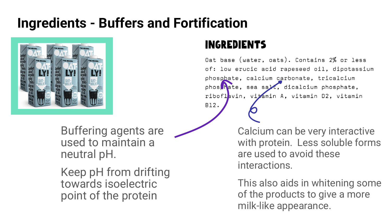## **Ingredients - Buffers and Fortification**



Buffering agents are used to maintain a neutral pH.

Keep pH from drifting towards isoelectric point of the protein

#### **INGREDIENTS**

**B12.** 

Oat base (water, oats). Contains 2% or less of: low erucic acid rapeseed oil, dipotassium phosphate, calcium carbonate, tricalcium phos hate, sea sale, dicalcium phosphate, riboflavin, vitamin A, vitamin D2, vitamin

> Calcium can be very interactive with protein. Less soluble forms are used to avoid these interactions.

> This also aids in whitening some of the products to give a more milk-like appearance.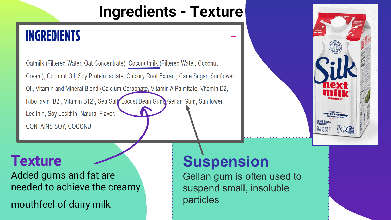# **Ingredients - Texture**

## **INGREDIENTS**

Oatmilk (Filtered Water, Oat Concentrate), Coconutmilk (Filtered Water, Coconut Cream), Coconut Oil, Soy Protein Isolate, Chicory Root Extract, Cane Sugar, Sunflower Oil, Vitamin and Mineral Blend (Calcium Carbonate, Vitamin A Palmitate, Vitamin D2, Riboflavin [B2], Vitamin B12), Sea Salt Locust Bean Gum, Gellan Gum, Sunflower Lecithin, Soy Lecithin, Natural Flavor. **CONTAINS SOY, COCONUT** 

## **Texture**

Added gums and fat are needed to achieve the creamy

mouthfeel of dairy milk

# **Suspension**

Gellan gum is often used to suspend small, insoluble particles

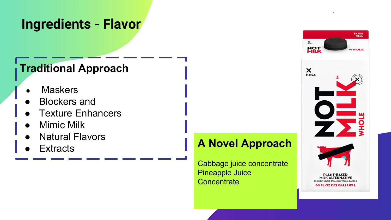### **Ingredients - Flavor**

### **Traditional Approach**

- **Maskers**
- **Blockers and**
- **Texture Enhancers**
- **Mimic Milk**
- **Natural Flavors**
- **Extracts**

### **A Novel Approach**

Cabbage juice concentrate Pineapple Juice **Concentrate** 

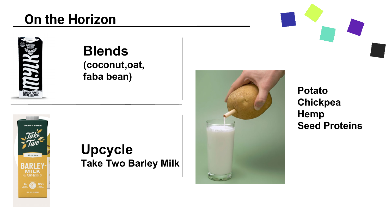## **On the Horizon**



#### **Blends (coconut,oat, faba bean)**



### **Upcycle Take Two Barley Milk**



**Potato Chickpea Hemp Seed Proteins**